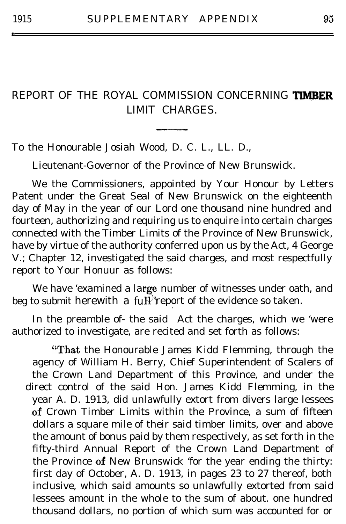t

## REPORT OF THE ROYAL COMMISSION CONCERNING TIMBER LIMIT CHARGES.

To the Honourable Josiah Wood, D. C. L., LL. D.,

Lieutenant-Governor of the Province of New Brunswick.

We the Commissioners, appointed by Your Honour by Letters Patent under the Great Seal of New Brunswick on the eighteenth day of May in the year of our Lord one thousand nine hundred and fourteen, authorizing and requiring us to enquire into certain charges connected with the Timber Limits of the Province of New Brunswick, have by virtue of the authority conferred upon us by the Act, 4 George V.; Chapter 12, investigated the said charges, and most respectfully report to Your Honuur as follows:

We have 'examined a lar**ge** number of witnesses under oath, and beg to submit herewith a fu $\mathbf{H}^{\mathcal{V}}$ report of the evidence so taken.

In the preamble of- the said Act the charges, which we 'were authorized to investigate, are recited and set forth as follows:

"That the Honourable James Kidd Flemming, through the agency of William H. Berry, Chief Superintendent of Scalers of the Crown Land Department of this Province, and under the direct control of the said Hon. James Kidd Flemming, in the year A. D. 1913, did unlawfully extort from divers large lessees of Crown Timber Limits within the Province, a sum of fifteen dollars a square mile of their said timber limits, over and above the amount of bonus paid by them respectively, as set forth in the fifty-third Annual Report of the Crown Land Department of the Province of New Brunswick 'for the year ending the thirty: first day of October, A. D. 1913, in pages 23 to 27 thereof, both inclusive, which said amounts so unlawfully extorted from said lessees amount in the whole to the sum of about. one hundred thousand dollars, no portion of which sum was accounted for or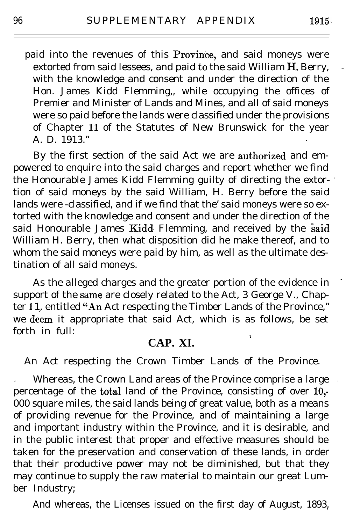paid into the revenues of this Province, and said moneys were extorted from said lessees, and paid to the said William  $\dot{H}$ . Berry, with the knowledge and consent and under the direction of the Hon. James Kidd Flemming,, while occupying the offices of Premier and Minister of Lands and Mines, and all of said moneys were so paid before the lands were classified under the provisions of Chapter 11 of the Statutes of New Brunswick for the year A. D. 1913." <sup>P</sup>

By the first section of the said Act we are authorized and empowered to enquire into the said charges and report whether we find the Honourable James Kidd Flemming guilty of directing the extor- \* tion of said moneys by the said William, H. Berry before the said lands were -classified, and if we find that the' said moneys were so extorted with the knowledge and consent and under the direction of the said Honourable James Kidd Flemming, and received by the said William H. Berry, then what disposition did he make thereof, and to whom the said moneys were paid by him, as well as the ultimate destination of all said moneys.

As the alleged charges and the greater portion of the evidence in ' support of the same are closely related to the Act, 3 George V., Chapter 11, entitled "An Act respecting the Timber Lands of the Province," we deem it appropriate that said Act, which is as follows, be set forth in full: 1

## **CAP. XI.**

An Act respecting the Crown Timber Lands of the Province.

Whereas, the Crown Land areas of the Province comprise a large percentage of the total land of the Province, consisting of over  $10,$ -000 square miles, the said lands being of great value, both as a means of providing revenue for the Province, and of maintaining a large and important industry within the Province, and it is desirable, and in the public interest that proper and effective measures should be taken for the preservation and conservation of these lands, in order that their productive power may not be diminished, but that they may continue to supply the raw material to maintain our great Lumber Industry;

And whereas, the Licenses issued on the first day of August, 1893,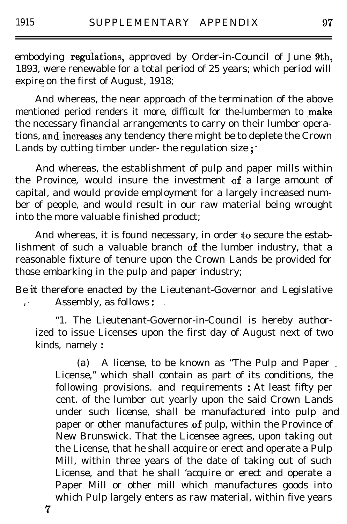embodying regulations, approved by Order-in-Council of June 9th, 1893, were renewable for a total period of 25 years; which period will expire on the first of August,  $1918$ ;

And whereas, the near approach of the termination of the above mentioned period renders it more, difficult for the-lumbermen to make the necessary financial arrangements to carry on their lumber operations, and.increases any tendency there might be to deplete the Crown Lands by cutting timber under- the regulation size  $;$ 

And whereas, the establishment of pulp and paper mills within the Province, would insure the investment of a large amount of capital, and would provide employment for a largely increased number of people, and would result in our raw material being wrought into the more valuable finished product;

And whereas, it is found necessary, in order to secure the establishment of such a valuable branch of the lumber industry, that a reasonable fixture of tenure upon the Crown Lands be provided for those embarking in the pulp and paper industry;

Be it therefore enacted by the Lieutenant-Governor and Legislative , ' Assembly, as follows : .

"1. The Lieutenant-Governor-in-Council is hereby authorized to issue Licenses upon the first day of August next of two kinds, namely :

(a) A license, to be known as "The Pulp and Paper \_ License," which shall contain as part of its conditions, the following provisions. and requirements : At least fifty per cent. of the lumber cut yearly upon the said Crown Lands under such license, shall be manufactured into pulp and paper or other manufactures of pulp, within the Province of New Brunswick. That the Licensee agrees, upon taking out the License, that he shall acquire or erect and operate a Pulp Mill, within three years of the date of taking out of such License, and that he shall 'acquire or erect and operate a Paper Mill or other mill which manufactures goods into which Pulp largely enters as raw material, within five years

7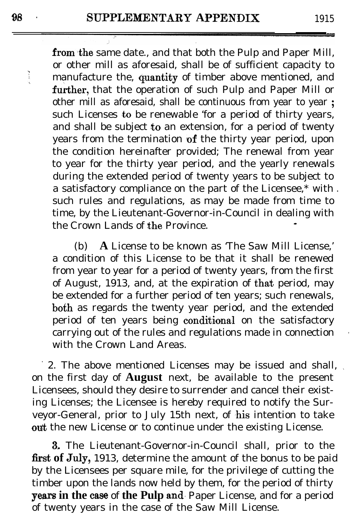from the same date., and that both the Pulp and Paper Mill, or other mill as aforesaid, shall be of sufficient capacity to manufacture the, quantity of timber above mentioned, and further, that the operation of such Pulp and Paper Mill or other mill as aforesaid, shall be continuous from year to year ; such Licenses to be renewable 'for a period of thirty years, and shall be subject to an extension, for a period of twenty years from the termination  $of$  the thirty year period, upon the condition hereinafter provided; The renewal from year to year for the thirty year period, and the yearly renewals during the extended period of twenty years to be subject to a satisfactory compliance on the part of the Licensee, $*$  with. such rules and regulations, as may be made from time to time, by the Lieutenant-Governor-in-Council in dealing with the Crown Lands of the Province

(b) **A** License to be known as 'The Saw Mill License,' a condition of this License to be that it shall be renewed from year to year for a period of twenty years, from the first of August, 1913, and, at the expiration of that period, may be extended for a further period of ten years; such renewals, both as regards the twenty year period, and the extended period of ten years being conditional on the satisfactory carrying out of the rules and regulations made in connection with the Crown Land Areas.

' 2. The above mentioned Licenses may be issued and shall, \ on the first day of **August** next, be available to the present Licensees, should they desire to surrender and cancel their existing Licenses; the Licensee is hereby required to notify the Surveyor-General, prior to July 15th next, of his intention to take out the new License or to continue under the existing License.

3, The Lieutenant-Governor-in-Council shall, prior to the first of July, 1913, determine the amount of the bonus to be paid by the Licensees per square mile, for the privilege of cutting the timber upon the lands now held by them, for the period of thirty **years in the case** of the Pulp and Paper License, and for a period of twenty years in the case of the Saw Mill License.

Ĩ.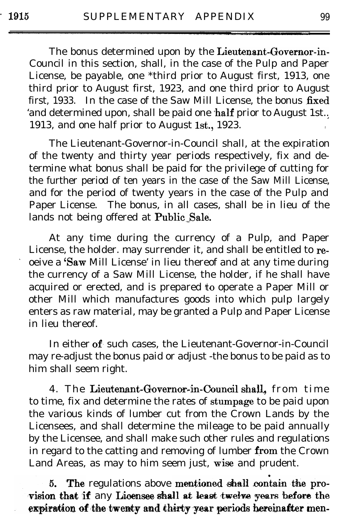The bonus determined upon by the Lieutenant-Governor-in-Council in this section, shall, in the case of the Pulp and Paper License, be payable, one \*third prior to August first, 1913, one third prior to August first, 1923, and one third prior to August first, 1933. In the case of the Saw Mill License, the bonus  $fixed$ 'and determined upon, shall be paid one half prior to August 1st.. 1913, and one half prior to August 1st., 1923.

The Lieutenant-Governor-in-Council shall, at the expiration of the twenty and thirty year periods respectively, fix and determine what bonus shall be paid for the privilege of cutting for the further period of ten years in the case of the Saw Mill License, and for the period of twenty years in the case of the Pulp and Paper License. The bonus, in all cases, shall be in lieu of the lands not being offered at Public Sale.

At any time during the currency of a Pulp, and Paper License, the holder. may surrender it, and shall be entitled to re oeive a 'Saw Mill License' in lieu thereof and at any time during the currency of a Saw Mill License, the holder, if he shall have acquired or erected, and is prepared to operate a Paper Mill or other Mill which manufactures goods into which pulp largely enters as raw material, may be granted a Pulp and Paper License in lieu thereof.

In either of such cases, the Lieutenant-Governor-in-Council may re-adjust the bonus paid or adjust -the bonus to be paid as to him shall seem right.

4. The Lieutenant-Governor-in-Council shall, from time to time, fix and determine the rates of stumpage to be paid upon the various kinds of lumber cut from the Crown Lands by the Licensees, and shall determine the mileage to be paid annually by the Licensee, and shall make such other rules and regulations in regard to the catting and removing of lumber from the Crown Land Areas, as may to him seem just, wise and prudent. -

5. The regulations above mentioned shall contain the provision that if any Licensee shall at least twelve years before the expiration of the twenty and thirty year periods hereinafter men-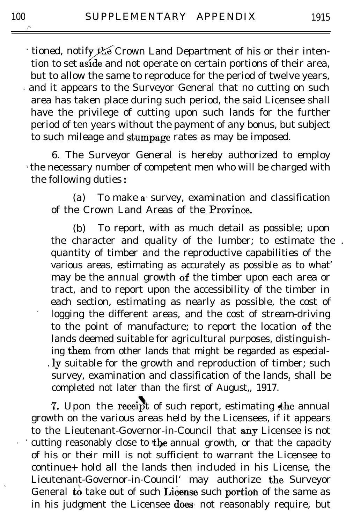tioned, notify  $\mathcal{H}$  Crown Land Department of his or their intention to set aside and not operate on certain portions of their area. tion to set aside and not operate on certain portions of their area, but to allow the same to reproduce for the period of twelve years, and it appears to the Surveyor General that no cutting on such area has taken place during such period, the said Licensee shall have the privilege of cutting upon such lands for the further period of ten years without the payment of any bonus, but subject to such mileage and stumpage rates as may be imposed.

6. The Surveyor General is hereby authorized to employ ) the necessary number of competent men who will be charged with the following duties :

(a) To make a survey, examination and classification of the Crown Land Areas of the **Province**.

(b) To report, with as much detail as possible; upon the character and quality of the lumber; to estimate the . quantity of timber and the reproductive capabilities of the various areas, estimating as accurately as possible as to what' may be the annual growth of the timber upon each area or tract, and to report upon the accessibility of the timber in each section, estimating as nearly as possible, the cost of logging the different areas, and the cost of stream-driving to the point of manufacture; to report the location of the lands deemed suitable for agricultural purposes, distinguishing them from other lands that might be regarded as especial-. ly suitable for the growth and reproduction of timber; such survey, examination and classification of the lands. shall be completed not later than the first of August,, 1917.

7. Upon the receipt of such report, estimating the annual growth on the various areas held by the Licensees, if it appears to the Lieutenant-Governor-in-Council that any Licensee is not the cutting reasonably close to the annual growth, or that the capacity of his or their mill is not sufficient to warrant the Licensee to continue+ hold all the lands then included in his License, the Lieutenant-Governor-in-Council' may authorize the Surveyor General to take out of such License such portion of the same as in his judgment the Licensee does not reasonably require, but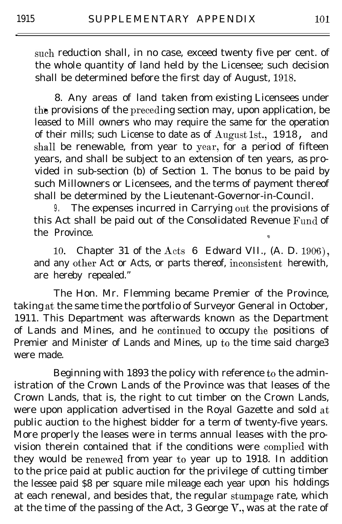such reduction shall, in no case, exceed twenty five per cent. of the whole quantity of land held by the Licensee; such decision shall be determined before the first day of August, 1918.

8. Any areas of land taken from existing Licensees under the provisions of the preceding section may, upon application, be leased to Mill owners who may require the same for the operation of their mills; such License to date as of August 1st., 1918, and shall be renewable, from year to year, for a period of fifteen years, and shall be subject to an extension of ten years, as provided in sub-section (b) of Section 1. The bonus to be paid by such Millowners or Licensees, and the terms of payment thereof shall be determined by the Lieutenant-Governor-in-Council.

9. The expenses incurred in Carrying out the provisions of this Act shall be paid out of the Consolidated Revenue Fund of the Province.

10. Chapter 31 of the Acts 6 Edward VII., (A. D. 1906), and any other Act or Acts, or parts thereof, inconsistent herewith, are hereby repealed."

The Hon. Mr. Flemming became Premier of the Province, taking at the same time the portfolio of Surveyor General in October, 1911. This Department was afterwards known as the Department of Lands and Mines, and he continued to occupy the positions of Premier and Minister of Lands and Mines, up to the time said charge3 were made.

Beginning with 1893 the policy with reference to the administration of the Crown Lands of the Province was that leases of the Crown Lands, that is, the right to cut timber on the Crown Lands, were upon application advertised in the Royal Gazette and sold at public auction to the highest bidder for a term of twenty-five years. More properly the leases were in terms annual leases with the provision therein contained that if the conditions were complied with they would be renewed from year to year up to 1918. In addition to the price paid at public auction for the privilege of cutting timber the lessee paid \$8 per square mile mileage each year upon his holdings at each renewal, and besides that, the regular stumpage rate, which at the time of the passing of the Act, 3 George V., was at the rate of

.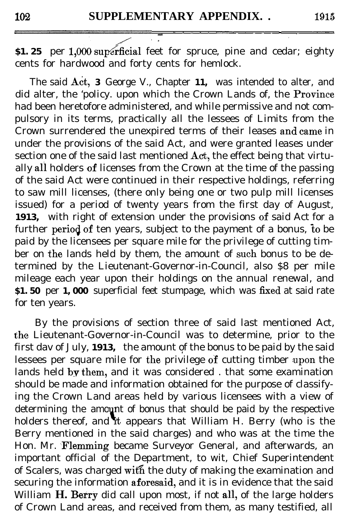102 SUPPLEMENT<br>
S1. 25 per 1,000 superficial feet<br>
cents for hardwood and forty cent **\$1.25** per 1,000 superficial feet for spruce, pine and cedar; eighty cents for hardwood and forty cents for hemlock.

The said Act, 3 George V., Chapter 11, was intended to alter, and did alter, the 'policy. upon which the Crown Lands of, the Province had been heretofore administered, and while permissive and not compulsory in its terms, practically all the lessees of Limits from the Crown surrendered the unexpired terms of their leases and came in under the provisions of the said Act, and were granted leases under section one of the said last mentioned  $\text{Act}$ , the effect being that virtually all holders of licenses from the Crown at the time of the passing of the said Act were continued in their respective holdings, referring to saw mill licenses, (there only being one or two pulp mill licenses issued) for a period of twenty years from the first day of August, 1913, with right of extension under the provisions of said Act for a further period of ten years, subject to the payment of a bonus, to be paid by the licensees per square mile for the privilege of cutting timber on the lands held by them, the amount of such bonus to be determined by the Lieutenant-Governor-in-Council, also \$8 per mile mileage each year upon their holdings on the annual renewal, and **\$1.50** per **1,000** superficial feet stumpage, which was fixed at said rate for ten years.

By the provisions of section three of said last mentioned Act, the Lieutenant-Governor-in-Council was to determine, prior to the first dav of July, 1913, the amount of the bonus to be paid by the said lessees per square mile for the privilege of cutting timber upon the lands held by them, and it was considered . that some examination should be made and information obtained for the purpose of classifying the Crown Land areas held by various licensees with a view of determining the amount of bonus that should be paid by the respective holders thereof, and it appears that William H. Berry (who is the Berry mentioned in the said charges) and who was at the time the Hon. Mr. Flemming became Surveyor General, and afterwards, an important official of the Department, to wit, Chief Superintendent of Scalers, was charged with the duty of making the examination and securing the information aforesaid, and it is in evidence that the said William **H. Berry** did call upon most, if not all, of the large holders of Crown Land areas, and received from them, as many testified, all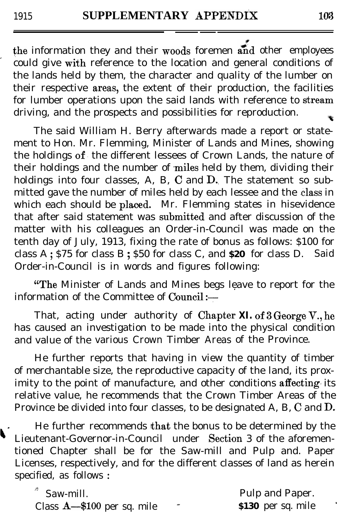the information they and their woods foremen and other employees could give with reference to the location and general conditions of the lands held by them, the character and quality of the lumber on their respective areas, the extent of their production, the facilities for lumber operations upon the said lands with reference to stream driving, and the prospects and possibilities for reproduction. ×,

The said William H. Berry afterwards made a report or statement to Hon. Mr. Flemming, Minister of Lands and Mines, showing the holdings of. the different lessees of Crown Lands, the nature of their holdings and the number of miles held by them, dividing their holdings into four classes, A, B,  $C$  and  $D$ . The statement so submitted gave the number of miles held by each lessee and the class in which each should be placed. Mr. Flemming states in hisevidence that after said statement was submitted and after discussion of the matter with his colleagues an Order-in-Council was made on the tenth day of July, 1913, fixing the rate of bonus as follows: \$100 for class A ; \$75 for class B ; \$50 for class C, and **\$20** for class D. Said Order-in-Council is in words and figures following:

"The Minister of Lands and Mines begs leave to report for the information of the Committee of Council:-

That, acting under authority of **Chapter XI. of 3 George V., he** has caused an investigation to be made into the physical condition and value of the various Crown Timber Areas of the Province.

He further reports that having in view the quantity of timber of merchantable size, the reproductive capacity of the land, its proximity to the point of manufacture, and other conditions affecting its relative value, he recommends that the Crown Timber Areas of the Province be divided into four classes, to be designated A, B, C and D,

He further recommends that the bonus to be determined by the Lieutenant-Governor-in-Council under Section 3 of the aforementioned Chapter shall be for the Saw-mill and Pulp and. Paper Licenses, respectively, and for the different classes of land as herein specified, as follows :

| $*$ Saw-mill.                 |     | Pulp and Paper.    |
|-------------------------------|-----|--------------------|
| Class $A$ —\$100 per sq. mile | en. | \$130 per sq. mile |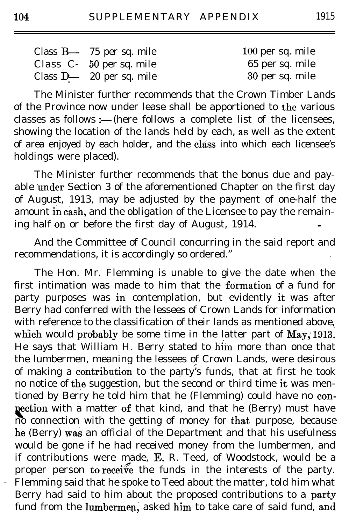| Class $B - 75$ per sq. mile | 100 per sq. mile |
|-----------------------------|------------------|
| Class $C-50$ per sq. mile   | 65 per sq. mile  |
| Class $D - 20$ per sq. mile | 30 per sq. mile  |

The Minister further recommends that the Crown Timber Lands of the Province now under lease shall be apportioned to the various classes as follows :---(here follows a complete list of the licensees, showing the location of the lands held by each, as well as the extent of area enjoyed by each holder, and the class into which each licensee's holdings were placed).

The Minister further recommends that the bonus due and payable under Section 3 of the aforementioned Chapter on the first day of August, 1913, may be adjusted by the payment of one-half the amount in cash, and the obligation of the Licensee to pay the remaining half on or before the first day of August,  $1914$ .

And the Committee of Council concurring in the said report and recommendations, it is accordingly so ordered."

The Hon. Mr. Flemming is unable to give the date when the first intimation was made to him that the formation of a fund for party purposes was in contemplation, but evidently it was after Berry had conferred with the lessees of Crown Lands for information with reference to the classification of their lands as mentioned above, which would probably be some time in the latter part of May, 1913. He says that William H. Berry stated to him more than once that the lumbermen, meaning the lessees of Crown Lands, were desirous of making a contribution to the party's funds, that at first he took no notice of the suggestion, but the second or third time it was mentioned by Berry he told him that he (Flemming) could have no conpection with a matter of that kind, and that he (Berry) must have no connection with the getting of money for that purpose, because he (Berry) was an official of the Department and that his usefulness would be gone if he had received money from the lumbermen, and if contributions were made, E. R. Teed, of Woodstock, would be a proper person to receive the funds in the interests of the party. Flemming said that he spoke to Teed about the matter, told him what Berry had said to him about the proposed contributions to a party fund from the lumbermen, asked him to take care of said fund, and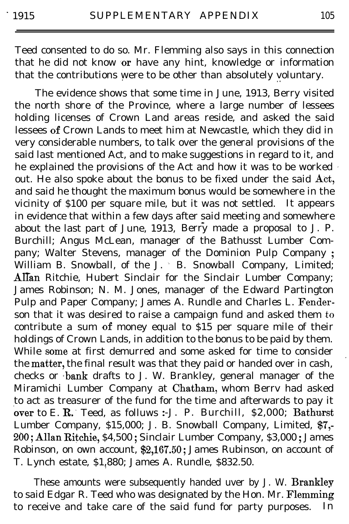Teed consented to do so. Mr. Flemming also says in this connection that he did not know or have any hint, knowledge or information that the contributions were to be other than absolutely voluntary.

The evidence shows that some time in June, 1913, Berry visited the north shore of the Province, where a large number of lessees holding licenses of Crown Land areas reside, and asked the said lessees of Crown Lands to meet him at Newcastle, which they did in very considerable numbers, to talk over the general provisions of the said last mentioned Act, and to make suggestions in regard to it, and he explained the provisions of the Act and how it was to be worked ' out. He also spoke about the bonus to be fixed under the said Act, and said he thought the maximum bonus would be somewhere in the vicinity of \$100 per square mile, but it was not settled. It appears in evidence that within a few days after said meeting and somewhere about the last part of June, 1913, Berry made a proposal to J. P. Burchill; Angus McLean, manager of the Bathusst Lumber Company; Walter Stevens, manager of the Dominion Pulp Company; William B. Snowball, of the J. B. Snowball Company, Limited; Allan Ritchie, Hubert Sinclair for the Sinclair Lumber Company; James Robinson; N. M. Jones, manager of the Edward Partington Pulp and Paper Company; James A. Rundle and Charles L. Fenderson that it was desired to raise a campaign fund and asked them to contribute a sum of money equal to  $$15$  per square mile of their holdings of Crown Lands, in addition to the bonus to be paid by them. While some at first demurred and some asked for time to consider the matter, the final result was that they paid or handed over in cash, checks or bank drafts to J. W. Brankley, general manager of the Miramichi Lumber Company at Chatham, whom Berrv had asked to act as treasurer of the fund for the time and afterwards to pay it over to E. R. Teed, as folluws :- J. P. Burchill, \$2,000; Bathurst Lumber Company, \$15,000; J. B. Snowball Company, Limited, \$7,-200; Allan Ritchie, \$4,500 ; Sinclair Lumber Company, \$3,000 ; James Robinson, on own account, \$2,167.50; James Rubinson, on account of T. Lynch estate, \$1,880; James A. Rundle, \$832.50.

These amounts were subsequently handed uver by J. W. Brankley to said Edgar R. Teed who was designated by the Hon. Mr. Flemming to receive and take care of the said fund for party purposes. In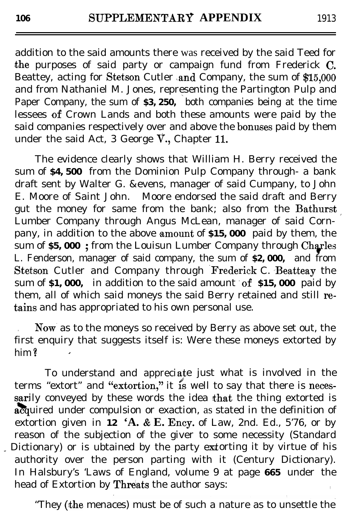addition to the said amounts there was received by the said Teed for the purposes of said party or campaign fund from Frederick  $\rm C$ . Beattey, acting for Stetson Cutler and Company, the sum of  $\$15,\!000$ and from Nathaniel M. Jones, representing the Partington Pulp and Paper Company, the sum of **\$3,250,** both companies being at the time lessees of Crown Lands and both these amounts were paid by the said companies respectively over and above the bonuses paid by them under the said Act, 3 George V., Chapter II.

The evidence clearly shows that William H. Berry received the sum of **\$4,500** from the Dominion Pulp Company through- a bank draft sent by Walter G. &evens, manager of said Cumpany, to John E. Moore of Saint John. Moore endorsed the said draft and Berry gut the money for same from the bank; also from the Bathurst Lumber Company through Angus McLean, manager of said Corn- ' pany, in addition to the above **amount of \$15,000** paid by them, the sum of \$5,000 ; from the Louisun Lumber Company through Charles L. Fenderson, manager of said company, the sum of **\$2,000,** and from Stetson Cutler and Company through Frederick C. Beatteay the sum of **\$1,000**, in addition to the said amount of \$15,000 paid by them, all of which said moneys the said Berry retained and still retains and has appropriated to his own personal use.

. Now' as to the moneys so received by Berry as above set out, the first enquiry that suggests itself is: Were these moneys extorted by him ?

To understand and appreciate just what is involved in the terms "extort" and "extortion," it is well to say that there is necessarily conveyed by these words the idea that the thing extorted is acquired under compulsion or exaction, as stated in the definition of extortion given in **12 'A. & E. Ency.** of Law, 2nd. Ed., 5'76, or by reason of the subjection of the giver to some necessity (Standard Dictionary) or is ubtained by the party extorting it by virtue of his authority over the person parting with it (Century Dictionary). In Halsbury's 'Laws of England, volume 9 at page **665** under the head of Extortion by Threats the author says:

"They (the menaces) must be of such a nature as to unsettle the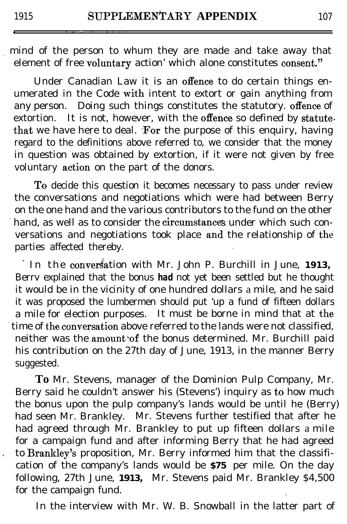mind of the person to whum they are made and take away that element of free voluntary action' which alone constitutes consent."

Under Canadian Law it is an offence to do certain things enumerated in the Code with intent to extort or gain anything from any person. Doing such things constitutes the statutory. offence of extortion. It is not, however, with the offence so defined by statutethat we have here to deal. For the purpose of this enquiry, having regard to the definitions above referred to, we consider that the money in question was obtained by extortion, if it were not given by free voluntary **action** on the part of the donors.

To decide this question it becomes necessary to pass under review the conversations and negotiations which were had between Berry on the one hand and the various contributors to the fund on the other hand, as well as to consider the **circumstances** under which such conversations and negotiations took place and the relationship of the parties affected thereby.

In the conversation with Mr. John P. Burchill in June, 1913, Berrv explained that the bonus *had* not yet been settled but he thought it would be in the vicinity of one hundred dollars a mile, and he said it was proposed the lumbermen should put 'up a fund of fifteen dollars a mile for election purposes. It must be borne in mind that at the time of the conversation above referred to the lands were not classified, neither was the amount of the bonus determined. Mr. Burchill paid his contribution on the 27th day of June, 1913, in the manner Berry suggested.

**To** Mr. Stevens, manager of the Dominion Pulp Company, Mr. Berry said he couldn't answer his (Stevens') inquiry as to how much the bonus upon the pulp company's lands would be until he (Berry) had seen Mr. Brankley. Mr. Stevens further testified that after he had agreed through Mr. Brankley to put up fifteen dollars a mile for a campaign fund and after informing Berry that he had agreed to Brankley's proposition, Mr. Berry informed him that the classification of the company's lands would be **\$75** per mile. On the day following, 27th June, **1913,** Mr. Stevens paid Mr. Brankley \$4,500 for the campaign fund.

In the interview with Mr. W. B. Snowball in the latter part of

\_ "\_ ,\_.^ .," , . . .,

I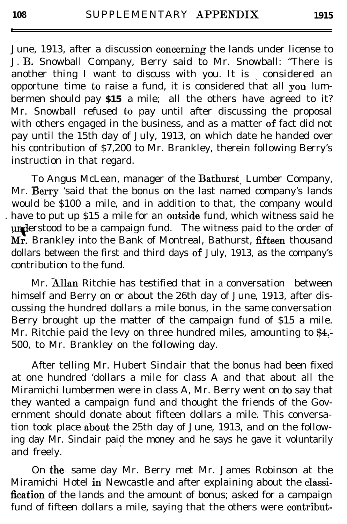June, 1913, after a discussion ooncerning the lands under license to J. B. Snowball Company, Berry said to Mr. Snowball: "There is another thing I want to discuss with you. It is considered an opportune time to raise a fund, it is considered that all you lumbermen should pay **\$15** a mile; all the others have agreed to it? Mr. Snowball refused to pay until after discussing the proposal with others engaged in the business, and as a matter of fact did not pay until the 15th day of July, 1913, on which date he handed over his contribution of \$7,200 to Mr. Brankley, therein following Berry's instruction in that regard.

To Angus McLean, manager of the Bathurst Lumber Company, Mr. Berry 'said that the bonus on the last named company's lands would be \$100 a mile, and in addition to that, the company would . have to put up  $$15$  a mile for an outside fund, which witness said he understood to be a campaign fund. The witness paid to the order of Mr. Brankley into the Bank of Montreal, Bathurst, fifteen thousand dollars between the first and third days of July, 1913, as the company's contribution to the fund. .

Mr. Allan Ritchie has testified that in a conversation between himself and Berry on or about the 26th day of June, 1913, after discussing the hundred dollars a mile bonus, in the *same* conversation Berry brought up the matter of the campaign fund of \$15 a mile. Mr. Ritchie paid the levy on three hundred miles, amounting to \$4,-500, to Mr. Brankley on the following day.

After telling Mr. Hubert Sinclair that the bonus had been fixed at one hundred 'dollars a mile for class A and that about all the Miramichi lumbermen were in class A, Mr. Berry went on to say that they wanted a campaign fund and thought the friends of the Government should donate about fifteen dollars a mile. This conversation took place about the 25th day of June, 1913, and on the following day Mr. Sinclair paid the money and he says he gave it voluntarily <sup>1</sup> and freely.

On the same day Mr. Berry met Mr. James Robinson at the Miramichi Hotel in Newcastle and after explaining about the classification of the lands and the amount of bonus; asked for a campaign fund of fifteen dollars a mile, saying that the others were contribut-

. I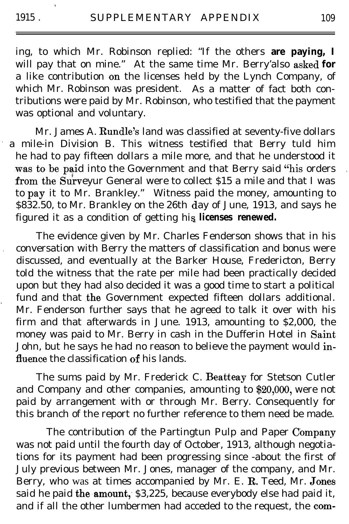a m

i

ing, to which Mr. Robinson replied: "If the others **are paying, I** will pay that on mine." At the same time Mr. Berry'also asked for a like contribution on the licenses held by the Lynch Company, of which Mr. Robinson was president. As a matter of fact both contributions were paid by Mr. Robinson, who testified that the payment was optional and voluntary.

Mr. James A. Rundle's land was classified at seventy-five dollars a mile-in Division B. This witness testified that Berry tuld him he had to pay fifteen dollars a mile more, and that he understood it was to be paid into the Government and that Berry said "his orders from the Surveyur General were to collect \$15 a mile and that I was to pay it to Mr. Brankley." Witness paid the money, amounting to  $$832.50$ , to Mr. Brankley on the 26th day of June, 1913, and says he figured it as a condition of getting his **licenses renewed.** 

The evidence given by Mr. Charles Fenderson shows that in his . conversation with Berry the matters of classification and bonus were discussed, and eventually at the Barker House, Fredericton, Berry told the witness that the rate per mile had been practically decided upon but they had also decided it was a good time to start a political fund and that the Government expected fifteen dollars additional. Mr. Fenderson further says that he agreed to talk it over with his firm and that afterwards in June. 1913, amounting to \$2,000, the money was paid to Mr. Berry in cash in the Dufferin Hotel in Saint John, but he says he had no reason to believe the payment would influence the classification of his lands.

The sums paid by Mr. Frederick C. Beatteay for Stetson Cutler and Company and other companies, amounting to \$20,000, were not paid by arrangement with or through Mr. Berry. Consequently for this branch of the report no further reference to them need be made.

The contribution of the Partingtun Pulp and Paper Company was not paid until the fourth day of October, 1913, although negotiations for its payment had been progressing since -about the first of July previous between Mr. Jones, manager of the company, and Mr. Berry, who was at times accompanied by Mr. E. R. Teed, Mr. Jones said he paid the amount,  $$3,225$ , because everybody else had paid it, and if all the other lumbermen had acceded to the request, the com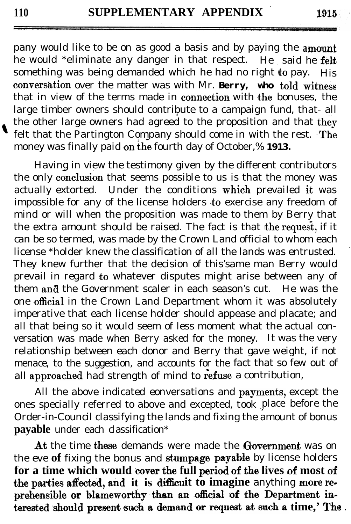pany would like to be on as good a basis and by paying the **a** he would \*eliminate any danger in that respect. He said he felt something was being demanded which he had no right to pay. His convers&tion over the matter was with Mr. **Berry, who toId witness** that in view of the terms made in connection with the bonuses, the large timber owners should contribute to a campaign fund, that- all the other large owners had agreed to the proposition and that thev felt that the Partington Company should come in with the rest.  $\text{The}$ money was finally paid on the fourth day of October,% 1913.

Having in view the testimony given by the different contributors the only conclusion that seems possible to us is that the money was actually extorted. Under the conditions which prevailed it was impossible for any of the license holders to exercise any freedom of mind or will when the proposition was made to them by Berry that the extra amount should be raised. The fact is that the request, if it can be so termed, was made by the Crown Land official to whom each license \*holder knew the classification of all the lands was entrusted. ' They knew further that the decision of this'same man Berry would prevail in regard to whatever disputes might arise between any of them and the Government scaler in each season's cut. He was the one official in the Crown Land Department whom it was absolutely imperative that each license holder should appease and placate; and all that being so it would seem of less moment what the actual conversation was made when Berry asked for the money. It was the very relationship between each donor and Berry that gave weight, if not menace, to the suggestion, and accounts for the fact that so few out of all approached had strength of mind to refuse a contribution,

All the above indicated eonversations and payments, except the ones specially referred to above and excepted, took place before the Order-in-Council classifying the lands and fixing the amount of bonus **payable** under each classification\*

At the time these demands were made the Government was on the eve of fixing the bonus and stumpage payable by license holders for a time which would cover the full period of the lives of most of the parties affected, and it is difficult to imagine anything more reprehensible or blameworthy than an official of the Department interested should present such a demand or request at such a time,' The .

1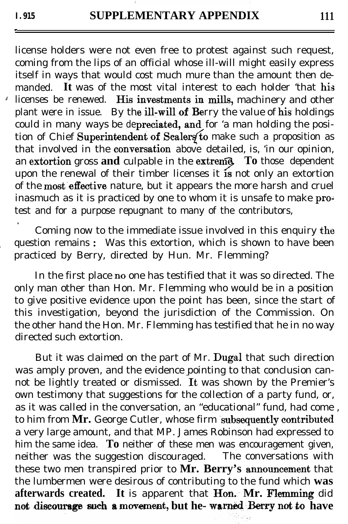.

,

license holders were not even free to protest against such request, coming from the lips of an official whose ill-will might easily express itself in ways that would cost much mure than the amount then demanded It was of the most vital interest to each holder 'that his  $\ell$  licenses be renewed. His investments in mills, machinery and other plant were in issue. By the ill-will of Berry the value of his holdings. could in many ways be depreciated, and for 'a man holding the position of Chief Superintendent of Scalers to make such a proposition as that involved in the conversation above detailed, is, 'in our opinion, an **extortion** gross **and** culpable in the **extremy** To those dependent upon the renewal of their timber licenses it  $\mathbf{r}$  is not only an extortion of the most effective nature, but it appears the more harsh and cruel inasmuch as it is practiced by one to whom it is unsafe to make protest and for a purpose repugnant to many of the contributors,

Coming now to the immediate issue involved in this enquiry the question remains : Was this extortion, which is shown to have been practiced by Berry, directed by Hun. Mr. Flemming?

In the first place no one has testified that it was so directed. The only man other than Hon. Mr. Flemming who would be in a position to give positive evidence upon the point has been, since the start of this investigation, beyond the jurisdiction of the Commission. On the other hand the Hon. Mr. Flemming has testified that he in no way directed such extortion.

But it was claimed on the part of Mr. Dugal that such direction was amply proven, and the evidence pointing to that conclusion cannot be lightly treated or dismissed. It was shown by the Premier's own testimony that suggestions for the collection of a party fund, or, as it was called in the conversation, an "educational" fund, had come , to him from Mr. George Cutler, whose firm subsequently contributed a very large amount, and that MP. James Robinson had expressed to him the same idea. **To** neither of these men was encouragement given, neither was the suggestion discouraged. The conversations with neither was the suggestion discouraged. these two men transpired prior to **Mr. Berry's** annuuncement that the lumbermen were desirous of contributing to the fund which **was** afterwards created. It is apparent that Hon. Mr. Flemming did not discourage such a movement, but he-warned Berry not to have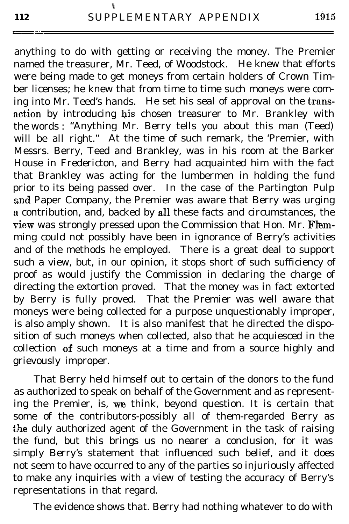anything to do with getting or receiving the money. The Premier named the treasurer, Mr. Teed, of Woodstock. He knew that efforts were being made to get moneys from certain holders of Crown Timber licenses; he knew that from time to time such moneys were coming into Mr. Teed's hands. He set his seal of approval on the transaction by introducing his chosen treasurer to Mr. Brankley with the words : "Anything Mr. Berry tells you about this man (Teed) will be all right." At the time of such remark, the 'Premier, with Messrs. Berry, Teed and Brankley, was in his room at the Barker House in Fredericton, and Berry had acquainted him with the fact that Brankley was acting for the lumbermen in holding the fund prior to its being passed over. In the case of the Partington Pulp and Paper Company, the Premier was aware that Berry was urging a contribution, and, backed by all these facts and circumstances, the view was strongly pressed upon the Commission that Hon. Mr. Flemming could not possibly have been in ignorance of Berry's activities and of the methods he employed. There is a great deal to support such a view, but, in our opinion, it stops short of such sufficiency of proof as would justify the Commission in declaring the charge of directing the extortion proved. That the money was in fact extorted by Berry is fully proved. That the Premier was well aware that moneys were being collected for a purpose unquestionably improper, is also amply shown. It is also manifest that he directed the disposition of such moneys when collected, also that he acquiesced in the collection of such moneys at a time and from a source highly and grievously improper.

That Berry held himself out to certain of the donors to the fund as authorized to speak on behalf of the Government and as representing the Premier, is, we think, beyond question. It is certain that some of the contributors-possibly all of them-regarded Berry as the duly authorized agent of the Government in the task of raising the fund, but this brings us no nearer a conclusion, for it was simply Berry's statement that influenced such belief, and it does not seem to have occurred to any of the parties so injuriously affected to make any inquiries with a view of testing the accuracy of Berry's representations in that regard.

The evidence shows that. Berry had nothing whatever to do with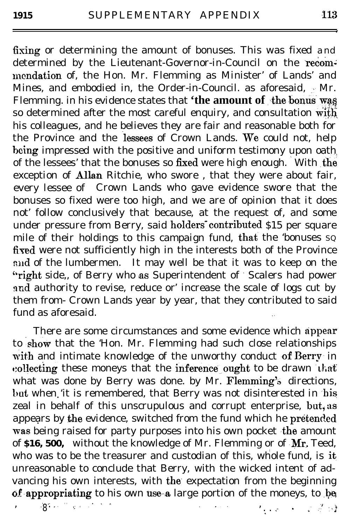fixing or determining the amount of bonuses. This was fixed and determined by the Lieutenant-Governor-in-Council on the recommcndation of, the Hon. Mr. Flemming as Minister' of Lands' and Mines, and embodied in, the Order-in-Council. as aforesaid,  $\cdot$  Mr. Flemming. in his evidence states that 'the amount of the bonus was so determined after the most careful enquiry, and consultation  $\overrightarrow{with}$ his colleagues, and he believes they are fair and reasonable both for the Province and the lessees of Crown Lands. We could not, help being impressed with the positive and uniform testimony upon oath of the lessees' that the bonuses so fixed were high enough. With the exception of Allan Ritchie, who swore, that they were about fair, every lessee of Crown Lands who gave evidence swore that the bonuses so fixed were too high, and we are of opinion that it does not' follow conclusively that because, at the request of, and some under pressure from Berry, said holders contributed \$15 per square mile of their holdings to this campaign fund, that the 'bonuses  $sq$ fixed were not sufficiently high in the interests both of the Province and of the lumbermen. It may well be that it was to keep on the "right side,, of Berry who as Superintendent of ' Scalers had power and authority to revise, reduce or' increase the scale of logs cut by them from- Crown Lands year by year, that they contributed to said fund as aforesaid.

There are some circumstances and some evidence which appear to show that the 'Hon. Mr. Flemming had such close relationships with and intimate knowledge of the unworthy conduct of Berry in collecting these moneys that the inference ought to be drawn that what was done by Berry was done. by Mr. Flemming's directions, but when 'it is remembered, that Berry was not disinterested in his zeal in behalf of this unscrupulous and corrupt enterprise, but, as appears by  ${\rm\bf the}$  evidence, switched from the fund which he  ${\rm\bf pre}$  tended was being raised for party purposes into his own pocket the amount of \$16, 500, without the knowledge of Mr. Flemming or of Mr. Teed, who was to be the treasurer and custodian of this, whole fund, is it unreasonable to conclude that Berry, with the wicked intent of advancing his own interests, with the expectation from the beginning of appropriating to his own use-a large portion of the moneys, to be  $\frac{1}{8}$ . . And  $\mathcal{S}^{\mathcal{I}}$  . In the set of the set of the set of the set of the set of the set of the set of the set of the set of the set of the set of the set of the set of the set of the set of the set of the set of the set

,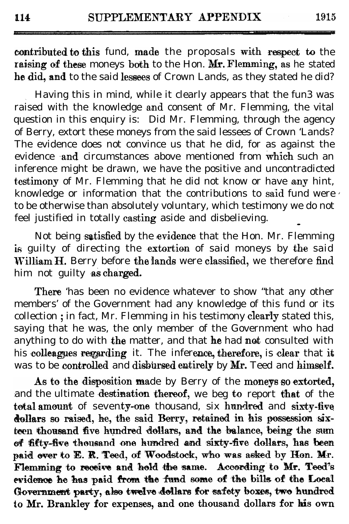contributed to this fund, made the proposals with respect to the raising of these moneys both to the Hon.  $Mr.$  Flemming, as he stated he did, and to the said lessees of Crown Lands, as they stated he did?

\ Having this in mind, while it clearly appears that the fun3 was raised with the knowledge and consent of Mr. Flemming, the vital question in this enquiry is: Did Mr. Flemming, through the agency of Berry, extort these moneys from the said lessees of Crown 'Lands? The evidence does not convince us that he did, for as against the evidence and circumstances above mentioned from which such an inference might be drawn, we have the positive and uncontradicted testimony of Mr. Flemming that he did not know or have any hint, knowledge or information that the contributions to said fund were  $\ell$ to be otherwise than absolutely voluntary, which testimony we do not feel justified in totally casting aside and disbelieving.

Not being satisfied by the evidence that the Hon. Mr. Flemming is guilty of directing the extortion of said moneys by the said William  $H$ . Berry before the lands were classified, we therefore find him not guilty as charged.

There 'has been no evidence whatever to show "that any other members' of the Government had any knowledge of this fund or its collection ; in fact, Mr. Flemming in his testimony clearly stated this, saying that he was, the only member of the Government who had anything to do with the matter, and that he had not consulted with his colleagues regarding it. The inference, therefore, is clear that it was to be controlled and disbursed entirely by Mr. Teed and himself.

As to the disposition made by Berry of the moneys so extorted, and the ultimate destination thereof, we beg to report that of the total amount of seventy-one thousand, six hundred and sixty-five dollars so raised, he, the said Berry, retained in his possession sixteen thousand five hundred dollars, and the balance, being the sum of fifty-five thousand one hundred and sixty-five dollars, has been paid over to E. R. Teed, of Woodstock, who was asked by Hon. Mr. Flemming to receive and hold the same. According to Mr. Teed's evidence he has paid from the fund some of the bills of the Local Government party, also twelve dollars for safety boxes, two hundred to Mr. Brankley for expenses, and one thousand dollars for his own